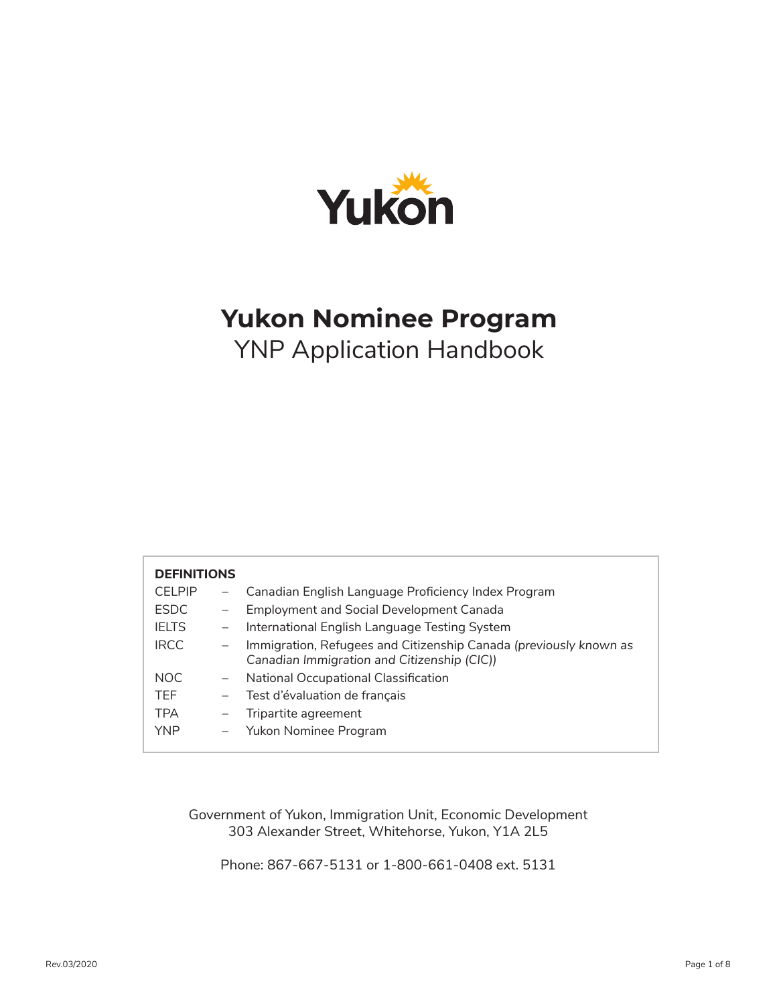

# **Yukon Nominee Program** YNP Application Handbook

| <b>DEFINITIONS</b> |                          |                                                                   |
|--------------------|--------------------------|-------------------------------------------------------------------|
| <b>CELPIP</b>      | $-$                      | Canadian English Language Proficiency Index Program               |
| <b>ESDC</b>        | $\overline{\phantom{m}}$ | <b>Employment and Social Development Canada</b>                   |
| <b>IFITS</b>       | $\overline{\phantom{m}}$ | International English Language Testing System                     |
| <b>IRCC</b>        | $\overline{\phantom{m}}$ | Immigration, Refugees and Citizenship Canada (previously known as |
|                    |                          | Canadian Immigration and Citizenship (CIC))                       |
| NOC.               | $\overline{\phantom{m}}$ | National Occupational Classification                              |
| TFF.               | $\overline{\phantom{m}}$ | Test d'évaluation de français                                     |
| <b>TPA</b>         | $\overline{\phantom{m}}$ | Tripartite agreement                                              |
| <b>YNP</b>         | $\overline{\phantom{m}}$ | Yukon Nominee Program                                             |

Government of Yukon, Immigration Unit, Economic Development 303 Alexander Street, Whitehorse, Yukon, Y1A 2L5

Phone: 867-667-5131 or 1-800-661-0408 ext. 5131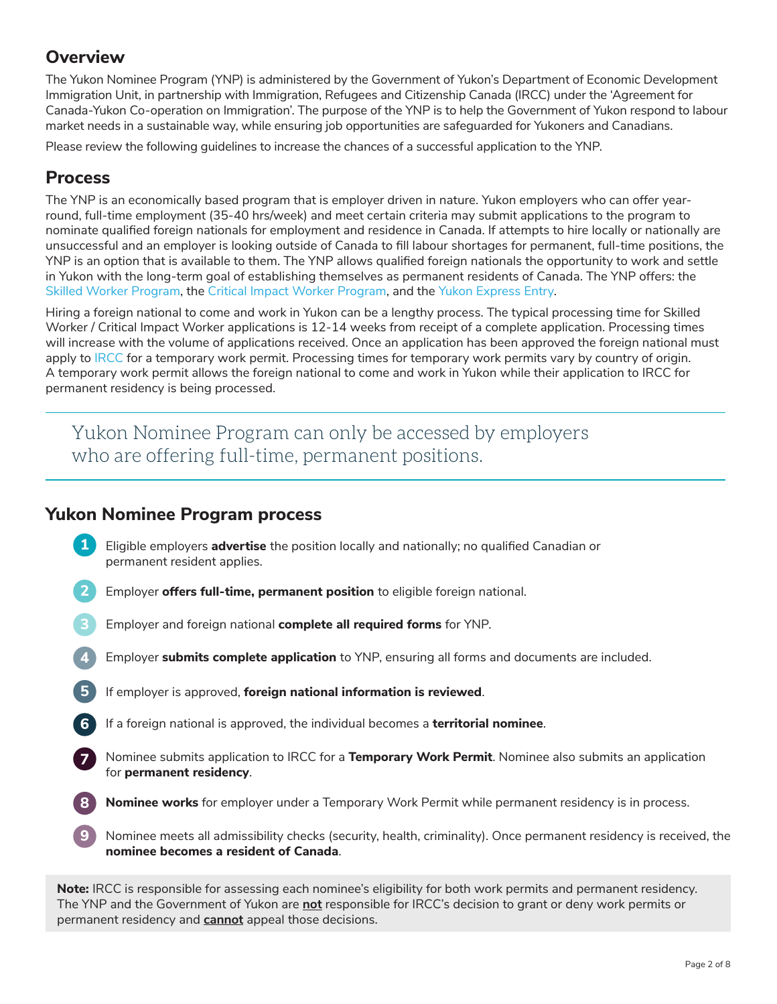## **Overview**

The Yukon Nominee Program (YNP) is administered by the Government of Yukon's Department of Economic Development Immigration Unit, in partnership with Immigration, Refugees and Citizenship Canada (IRCC) under the 'Agreement for Canada-Yukon Co-operation on Immigration'. The purpose of the YNP is to help the Government of Yukon respond to labour market needs in a sustainable way, while ensuring job opportunities are safeguarded for Yukoners and Canadians.

Please review the following guidelines to increase the chances of a successful application to the YNP.

## **Process**

**9**

The YNP is an economically based program that is employer driven in nature. Yukon employers who can offer yearround, full-time employment (35-40 hrs/week) and meet certain criteria may submit applications to the program to nominate qualified foreign nationals for employment and residence in Canada. If attempts to hire locally or nationally are unsuccessful and an employer is looking outside of Canada to fill labour shortages for permanent, full-time positions, the YNP is an option that is available to them. The YNP allows qualified foreign nationals the opportunity to work and settle in Yukon with the long-term goal of establishing themselves as permanent residents of Canada. The YNP offers: the Skilled Worker Program, the Critical Impact Worker Program, and the Yukon Express Entry.

Hiring a foreign national to come and work in Yukon can be a lengthy process. The typical processing time for Skilled Worker / Critical Impact Worker applications is 12-14 weeks from receipt of a complete application. Processing times will increase with the volume of applications received. Once an application has been approved the foreign national must apply to IRCC for a temporary work permit. Processing times for temporary work permits vary by country of origin. A temporary work permit allows the foreign national to come and work in Yukon while their application to IRCC for permanent residency is being processed.

Yukon Nominee Program can only be accessed by employers who are offering full-time, permanent positions.

## **Yukon Nominee Program process**

- Eligible employers **advertise** the position locally and nationally; no qualified Canadian or permanent resident applies. **1**
- **2** Employer **offers full-time, permanent position** to eligible foreign national.
- **3** Employer and foreign national **complete all required forms** for YNP.
- **4** Employer **submits complete application** to YNP, ensuring all forms and documents are included.
- **5** If employer is approved, **foreign national information is reviewed**.
- **6** If a foreign national is approved, the individual becomes a **territorial nominee**.
- Nominee submits application to IRCC for a **Temporary Work Permit**. Nominee also submits an application for **permanent residency**. **<sup>7</sup>**
- **8 Nominee works** for employer under a Temporary Work Permit while permanent residency is in process.
- Nominee meets all admissibility checks (security, health, criminality). Once permanent residency is received, the **nominee becomes a resident of Canada**.

**Note:** IRCC is responsible for assessing each nominee's eligibility for both work permits and permanent residency. The YNP and the Government of Yukon are **not** responsible for IRCC's decision to grant or deny work permits or permanent residency and **cannot** appeal those decisions.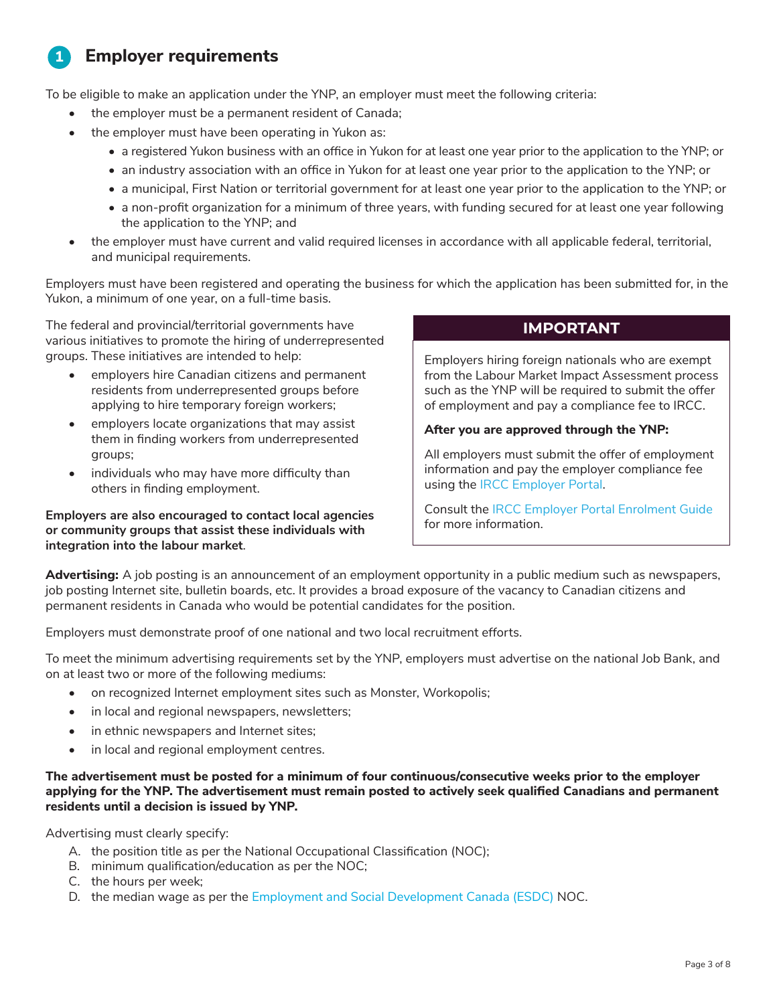#### **Employer requirements 1**

To be eligible to make an application under the YNP, an employer must meet the following criteria:

- the employer must be a permanent resident of Canada;
- the employer must have been operating in Yukon as:
	- a registered Yukon business with an office in Yukon for at least one year prior to the application to the YNP; or
	- an industry association with an office in Yukon for at least one year prior to the application to the YNP; or
	- a municipal, First Nation or territorial government for at least one year prior to the application to the YNP; or
	- a non-profit organization for a minimum of three years, with funding secured for at least one year following the application to the YNP; and
- the employer must have current and valid required licenses in accordance with all applicable federal, territorial, and municipal requirements.

Employers must have been registered and operating the business for which the application has been submitted for, in the Yukon, a minimum of one year, on a full-time basis.

The federal and provincial/territorial governments have various initiatives to promote the hiring of underrepresented groups. These initiatives are intended to help:

- employers hire Canadian citizens and permanent residents from underrepresented groups before applying to hire temporary foreign workers;
- employers locate organizations that may assist them in finding workers from underrepresented groups;
- individuals who may have more difficulty than others in finding employment.

**Employers are also encouraged to contact local agencies or community groups that assist these individuals with integration into the labour market**.

## **IMPORTANT**

Employers hiring foreign nationals who are exempt from the Labour Market Impact Assessment process such as the YNP will be required to submit the offer of employment and pay a compliance fee to IRCC.

### **After you are approved through the YNP:**

All employers must submit the offer of employment information and pay the employer compliance fee using the IRCC Employer Portal.

Consult the IRCC Employer Portal Enrolment Guide for more information.

**Advertising:** A job posting is an announcement of an employment opportunity in a public medium such as newspapers, job posting Internet site, bulletin boards, etc. It provides a broad exposure of the vacancy to Canadian citizens and permanent residents in Canada who would be potential candidates for the position.

Employers must demonstrate proof of one national and two local recruitment efforts.

To meet the minimum advertising requirements set by the YNP, employers must advertise on the national Job Bank, and on at least two or more of the following mediums:

- on recognized Internet employment sites such as Monster, Workopolis;
- in local and regional newspapers, newsletters;
- in ethnic newspapers and Internet sites;
- in local and regional employment centres.

**The advertisement must be posted for a minimum of four continuous/consecutive weeks prior to the employer applying for the YNP. The advertisement must remain posted to actively seek qualified Canadians and permanent residents until a decision is issued by YNP.**

Advertising must clearly specify:

- A. the position title as per the National Occupational Classification (NOC);
- B. minimum qualification/education as per the NOC;
- C. the hours per week;
- D. the median wage as per the Employment and Social Development Canada (ESDC) NOC.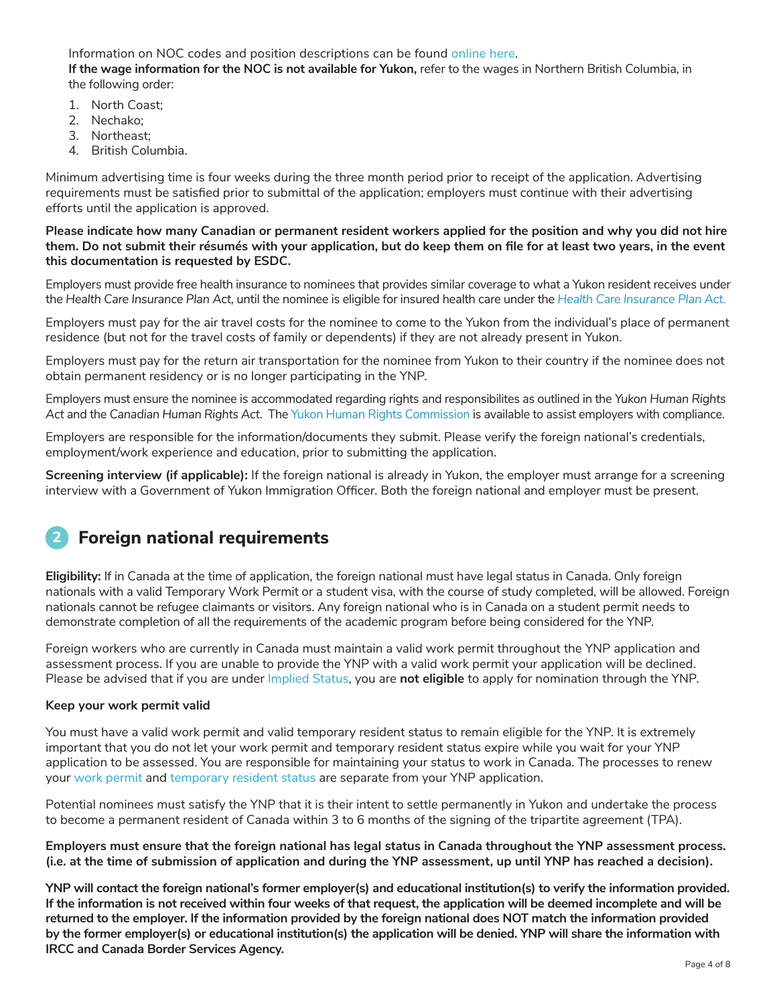Information on NOC codes and position descriptions can be found online here. **If the wage information for the NOC is not available for Yukon,** refer to the wages in Northern British Columbia, in the following order:

- 1. North Coast;
- 2. Nechako;
- 3. Northeast;
- 4. British Columbia.

Minimum advertising time is four weeks during the three month period prior to receipt of the application. Advertising requirements must be satisfied prior to submittal of the application; employers must continue with their advertising efforts until the application is approved.

**Please indicate how many Canadian or permanent resident workers applied for the position and why you did not hire them. Do not submit their résumés with your application, but do keep them on file for at least two years, in the event this documentation is requested by ESDC.**

Employers must provide free health insurance to nominees that provides similar coverage to what a Yukon resident receives under the *Health Care Insurance Plan Act,* until the nominee is eligible for insured health care under the *Health Care Insurance Plan Act*.

Employers must pay for the air travel costs for the nominee to come to the Yukon from the individual's place of permanent residence (but not for the travel costs of family or dependents) if they are not already present in Yukon.

Employers must pay for the return air transportation for the nominee from Yukon to their country if the nominee does not obtain permanent residency or is no longer participating in the YNP.

Employers must ensure the nominee is accommodated regarding rights and responsibilites as outlined in the *Yukon Human Rights Act* and the *Canadian Human Rights Act*. The Yukon Human Rights Commission is available to assist employers with compliance.

Employers are responsible for the information/documents they submit. Please verify the foreign national's credentials, employment/work experience and education, prior to submitting the application.

**Screening interview (if applicable):** If the foreign national is already in Yukon, the employer must arrange for a screening interview with a Government of Yukon Immigration Officer. Both the foreign national and employer must be present.

### **Foreign national requirements 2**

**Eligibility:** If in Canada at the time of application, the foreign national must have legal status in Canada. Only foreign nationals with a valid Temporary Work Permit or a student visa, with the course of study completed, will be allowed. Foreign nationals cannot be refugee claimants or visitors. Any foreign national who is in Canada on a student permit needs to demonstrate completion of all the requirements of the academic program before being considered for the YNP.

Foreign workers who are currently in Canada must maintain a valid work permit throughout the YNP application and assessment process. If you are unable to provide the YNP with a valid work permit your application will be declined. Please be advised that if you are under Implied Status, you are **not eligible** to apply for nomination through the YNP.

### **Keep your work permit valid**

You must have a valid work permit and valid temporary resident status to remain eligible for the YNP. It is extremely important that you do not let your work permit and temporary resident status expire while you wait for your YNP application to be assessed. You are responsible for maintaining your status to work in Canada. The processes to renew your work permit and temporary resident status are separate from your YNP application.

Potential nominees must satisfy the YNP that it is their intent to settle permanently in Yukon and undertake the process to become a permanent resident of Canada within 3 to 6 months of the signing of the tripartite agreement (TPA).

**Employers must ensure that the foreign national has legal status in Canada throughout the YNP assessment process. (i.e. at the time of submission of application and during the YNP assessment, up until YNP has reached a decision).**

**YNP will contact the foreign national's former employer(s) and educational institution(s) to verify the information provided. If the information is not received within four weeks of that request, the application will be deemed incomplete and will be returned to the employer. If the information provided by the foreign national does NOT match the information provided by the former employer(s) or educational institution(s) the application will be denied. YNP will share the information with IRCC and Canada Border Services Agency.**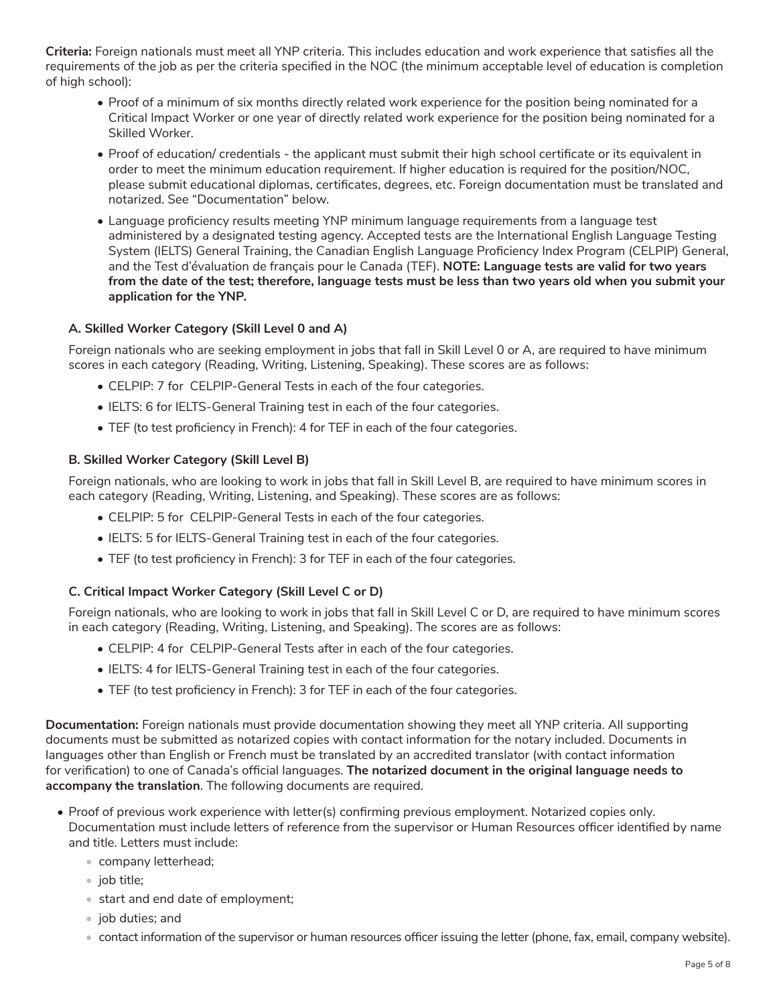**Criteria:** Foreign nationals must meet all YNP criteria. This includes education and work experience that satisfies all the requirements of the job as per the criteria specified in the NOC (the minimum acceptable level of education is completion of high school):

- Proof of a minimum of six months directly related work experience for the position being nominated for a Critical Impact Worker or one year of directly related work experience for the position being nominated for a Skilled Worker.
- Proof of education/ credentials the applicant must submit their high school certificate or its equivalent in order to meet the minimum education requirement. If higher education is required for the position/NOC, please submit educational diplomas, certificates, degrees, etc. Foreign documentation must be translated and notarized. See "Documentation" below.
- Language proficiency results meeting YNP minimum language requirements from a language test administered by a designated testing agency. Accepted tests are the International English Language Testing System (IELTS) General Training, the Canadian English Language Proficiency Index Program (CELPIP) General, and the Test d'évaluation de français pour le Canada (TEF). **NOTE: Language tests are valid for two years from the date of the test; therefore, language tests must be less than two years old when you submit your application for the YNP.**

## **A. Skilled Worker Category (Skill Level 0 and A)**

Foreign nationals who are seeking employment in jobs that fall in Skill Level 0 or A, are required to have minimum scores in each category (Reading, Writing, Listening, Speaking). These scores are as follows:

- CELPIP: 7 for CELPIP-General Tests in each of the four categories.
- IELTS: 6 for IELTS-General Training test in each of the four categories.
- TEF (to test proficiency in French): 4 for TEF in each of the four categories.

### **B. Skilled Worker Category (Skill Level B)**

Foreign nationals, who are looking to work in jobs that fall in Skill Level B, are required to have minimum scores in each category (Reading, Writing, Listening, and Speaking). These scores are as follows:

- CELPIP: 5 for CELPIP-General Tests in each of the four categories.
- IELTS: 5 for IELTS-General Training test in each of the four categories.
- TEF (to test proficiency in French): 3 for TEF in each of the four categories.

## **C. Critical Impact Worker Category (Skill Level C or D)**

Foreign nationals, who are looking to work in jobs that fall in Skill Level C or D, are required to have minimum scores in each category (Reading, Writing, Listening, and Speaking). The scores are as follows:

- CELPIP: 4 for CELPIP-General Tests after in each of the four categories.
- IELTS: 4 for IELTS-General Training test in each of the four categories.
- TEF (to test proficiency in French): 3 for TEF in each of the four categories.

**Documentation:** Foreign nationals must provide documentation showing they meet all YNP criteria. All supporting documents must be submitted as notarized copies with contact information for the notary included. Documents in languages other than English or French must be translated by an accredited translator (with contact information for verification) to one of Canada's official languages. **The notarized document in the original language needs to accompany the translation**. The following documents are required.

- Proof of previous work experience with letter(s) confirming previous employment. Notarized copies only. Documentation must include letters of reference from the supervisor or Human Resources officer identified by name and title. Letters must include:
	- company letterhead;
	- job title;
	- start and end date of employment;
	- job duties; and
	- contact information of the supervisor or human resources officer issuing the letter (phone, fax, email, company website).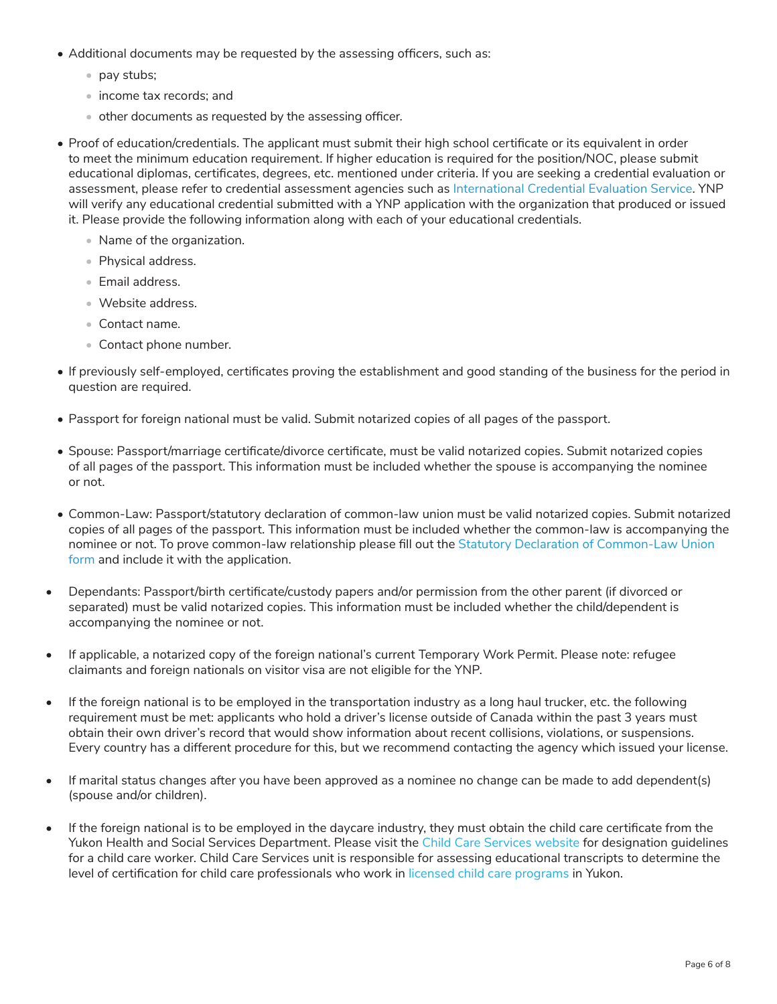- Additional documents may be requested by the assessing officers, such as:
	- pay stubs;
	- income tax records; and
	- other documents as requested by the assessing officer.
- Proof of education/credentials. The applicant must submit their high school certificate or its equivalent in order to meet the minimum education requirement. If higher education is required for the position/NOC, please submit educational diplomas, certificates, degrees, etc. mentioned under criteria. If you are seeking a credential evaluation or assessment, please refer to credential assessment agencies such as International Credential Evaluation Service. YNP will verify any educational credential submitted with a YNP application with the organization that produced or issued it. Please provide the following information along with each of your educational credentials.
	- Name of the organization.
	- Physical address.
	- Email address.
	- Website address.
	- Contact name.
	- Contact phone number.
- If previously self-employed, certificates proving the establishment and good standing of the business for the period in question are required.
- Passport for foreign national must be valid. Submit notarized copies of all pages of the passport.
- Spouse: Passport/marriage certificate/divorce certificate, must be valid notarized copies. Submit notarized copies of all pages of the passport. This information must be included whether the spouse is accompanying the nominee or not.
- Common-Law: Passport/statutory declaration of common-law union must be valid notarized copies. Submit notarized copies of all pages of the passport. This information must be included whether the common-law is accompanying the nominee or not. To prove common-law relationship please fill out the Statutory Declaration of Common-Law Union form and include it with the application.
- Dependants: Passport/birth certificate/custody papers and/or permission from the other parent (if divorced or separated) must be valid notarized copies. This information must be included whether the child/dependent is accompanying the nominee or not.
- If applicable, a notarized copy of the foreign national's current Temporary Work Permit. Please note: refugee claimants and foreign nationals on visitor visa are not eligible for the YNP.
- If the foreign national is to be employed in the transportation industry as a long haul trucker, etc. the following requirement must be met: applicants who hold a driver's license outside of Canada within the past 3 years must obtain their own driver's record that would show information about recent collisions, violations, or suspensions. Every country has a different procedure for this, but we recommend contacting the agency which issued your license.
- If marital status changes after you have been approved as a nominee no change can be made to add dependent(s) (spouse and/or children).
- If the foreign national is to be employed in the daycare industry, they must obtain the child care certificate from the Yukon Health and Social Services Department. Please visit the Child Care Services website for designation guidelines for a child care worker. Child Care Services unit is responsible for assessing educational transcripts to determine the level of certification for child care professionals who work in licensed child care programs in Yukon.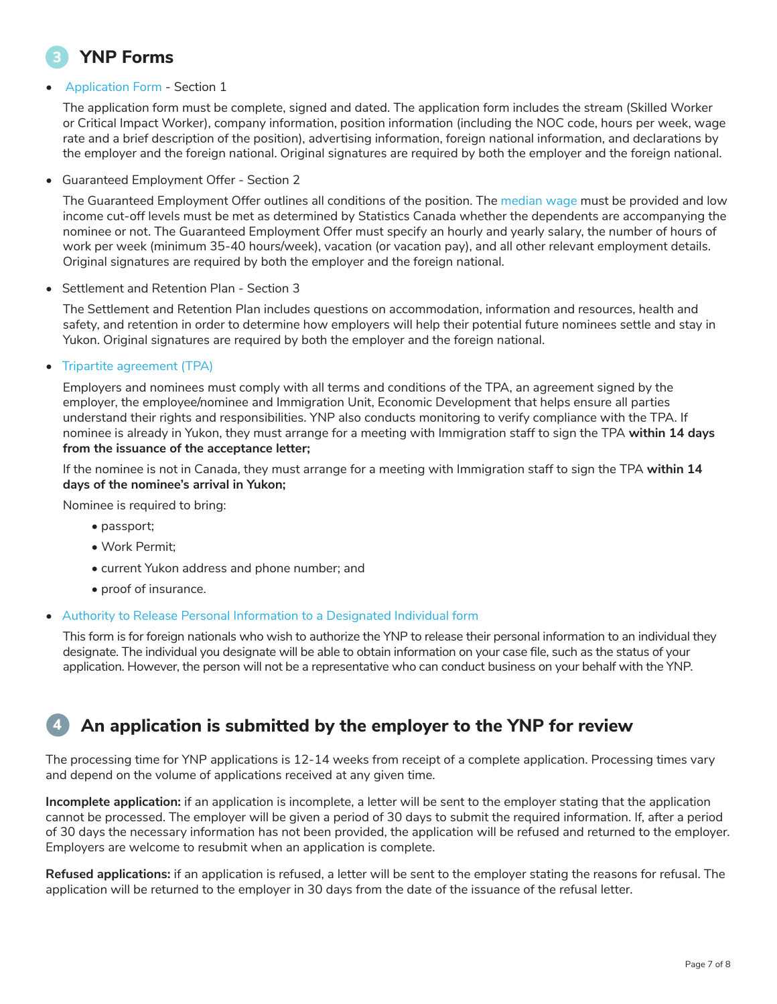## **YNP Forms**

## • Application Form - Section 1

The application form must be complete, signed and dated. The application form includes the stream (Skilled Worker or Critical Impact Worker), company information, position information (including the NOC code, hours per week, wage rate and a brief description of the position), advertising information, foreign national information, and declarations by the employer and the foreign national. Original signatures are required by both the employer and the foreign national.

• Guaranteed Employment Offer - Section 2

The Guaranteed Employment Offer outlines all conditions of the position. The median wage must be provided and low income cut-off levels must be met as determined by Statistics Canada whether the dependents are accompanying the nominee or not. The Guaranteed Employment Offer must specify an hourly and yearly salary, the number of hours of work per week (minimum 35-40 hours/week), vacation (or vacation pay), and all other relevant employment details. Original signatures are required by both the employer and the foreign national.

• Settlement and Retention Plan - Section 3

The Settlement and Retention Plan includes questions on accommodation, information and resources, health and safety, and retention in order to determine how employers will help their potential future nominees settle and stay in Yukon. Original signatures are required by both the employer and the foreign national.

## • Tripartite agreement (TPA)

Employers and nominees must comply with all terms and conditions of the TPA, an agreement signed by the employer, the employee/nominee and Immigration Unit, Economic Development that helps ensure all parties understand their rights and responsibilities. YNP also conducts monitoring to verify compliance with the TPA. If nominee is already in Yukon, they must arrange for a meeting with Immigration staff to sign the TPA **within 14 days from the issuance of the acceptance letter;**

If the nominee is not in Canada, they must arrange for a meeting with Immigration staff to sign the TPA **within 14 days of the nominee's arrival in Yukon;**

Nominee is required to bring:

- passport;
- Work Permit;
- current Yukon address and phone number; and
- proof of insurance.

## • Authority to Release Personal Information to a Designated Individual form

This form is for foreign nationals who wish to authorize the YNP to release their personal information to an individual they designate. The individual you designate will be able to obtain information on your case file, such as the status of your application. However, the person will not be a representative who can conduct business on your behalf with the YNP.

#### **An application is submitted by the employer to the YNP for review 4**

The processing time for YNP applications is 12-14 weeks from receipt of a complete application. Processing times vary and depend on the volume of applications received at any given time.

**Incomplete application:** if an application is incomplete, a letter will be sent to the employer stating that the application cannot be processed. The employer will be given a period of 30 days to submit the required information. If, after a period of 30 days the necessary information has not been provided, the application will be refused and returned to the employer. Employers are welcome to resubmit when an application is complete.

**Refused applications:** if an application is refused, a letter will be sent to the employer stating the reasons for refusal. The application will be returned to the employer in 30 days from the date of the issuance of the refusal letter.